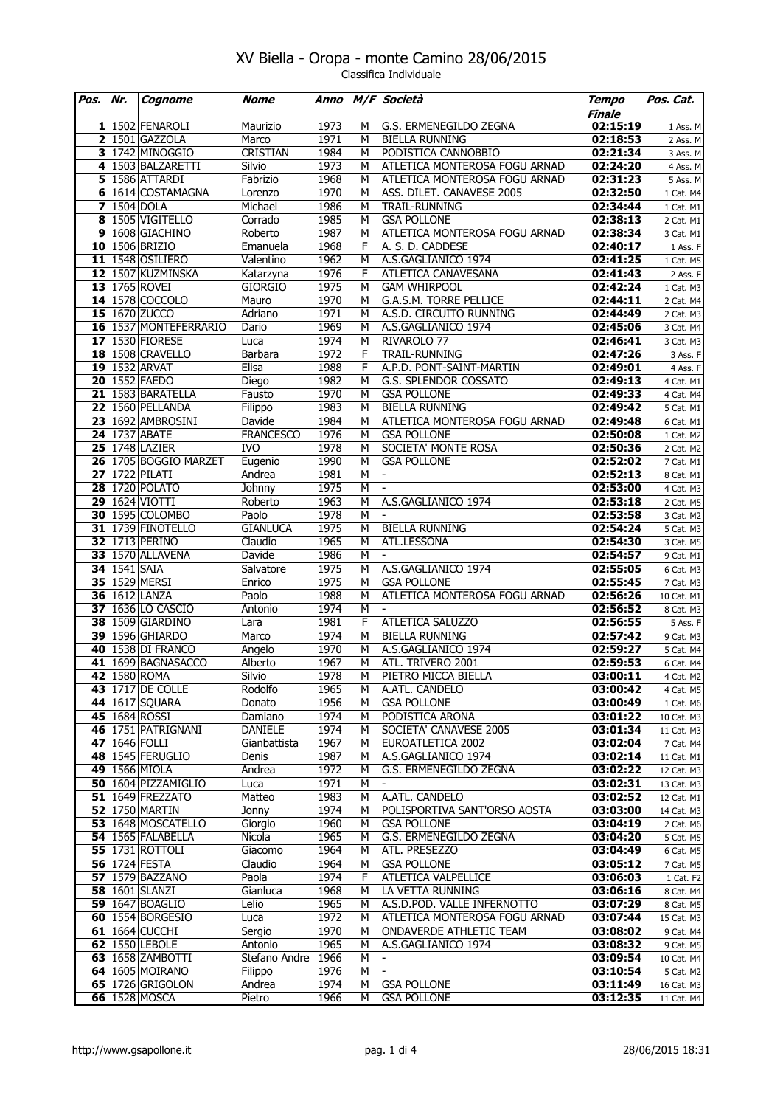| Pos.                    | Nr.          | Cognome                            | Nome              | Anno         | M/F    | Società                                        | <b>Tempo</b>         | Pos. Cat.              |
|-------------------------|--------------|------------------------------------|-------------------|--------------|--------|------------------------------------------------|----------------------|------------------------|
|                         |              |                                    |                   |              |        |                                                | Finale               |                        |
| 11                      |              | 1502 FENAROLI                      | Maurizio          | 1973         | м      | G.S. ERMENEGILDO ZEGNA                         | 02:15:19             | 1 Ass. M               |
| $\overline{\mathbf{2}}$ |              | 1501 GAZZOLA                       | Marco             | 1971         | М      | <b>BIELLA RUNNING</b>                          | 02:18:53             | 2 Ass. M               |
| 3                       |              | 1742 MINOGGIO                      | <b>CRISTIAN</b>   | 1984         | м      | PODISTICA CANNOBBIO                            | 02:21:34             | 3 Ass. M               |
| 4                       |              | 1503 BALZARETTI                    | Silvio            | 1973         | М      | ATLETICA MONTEROSA FOGU ARNAD                  | 02:24:20             | 4 Ass. M               |
| 5 <sup>1</sup>          |              | 1586 ATTARDI                       | Fabrizio          | 1968         | М      | ATLETICA MONTEROSA FOGU ARNAD                  | 02:31:23             | 5 Ass. M               |
| 6                       |              | 1614 COSTAMAGNA                    | Lorenzo           | 1970         | м      | ASS. DILET. CANAVESE 2005                      | 02:32:50             | 1 Cat. M4              |
| $\overline{\mathbf{z}}$ |              | $1504$ DOLA                        | Michael           | 1986         | М      | TRAIL-RUNNING                                  | 02:34:44             | 1 Cat. M1              |
| 8                       |              | 1505 VIGITELLO                     | Corrado           | 1985         | М      | <b>GSA POLLONE</b>                             | 02:38:13             | 2 Cat. M1              |
| 9                       |              | 1608 GIACHINO<br>10 1506 BRIZIO    | Roberto           | 1987         | М      | ATLETICA MONTEROSA FOGU ARNAD                  | 02:38:34             | 3 Cat. M1              |
|                         |              |                                    | Emanuela          | 1968         | F      | A. S. D. CADDESE                               | 02:40:17             | 1 Ass. F               |
|                         |              | $11$   1548 OSILIERO               | Valentino         | 1962         | М      | A.S.GAGLIANICO 1974                            | 02:41:25             | 1 Cat. M5              |
|                         |              | 12 1507 KUZMINSKA<br>13 1765 ROVEI | Katarzyna         | 1976<br>1975 | F      | ATLETICA CANAVESANA                            | 02:41:43             | 2 Ass. F               |
|                         |              | 14 1578 COCCOLO                    | <b>GIORGIO</b>    |              | М      | <b>GAM WHIRPOOL</b>                            | 02:42:24             | 1 Cat. M3              |
|                         |              | 15 1670 ZUCCO                      | Mauro             | 1970<br>1971 | М<br>М | G.A.S.M. TORRE PELLICE                         | 02:44:11             | 2 Cat. M4              |
|                         |              | 16 1537 MONTEFERRARIO              | Adriano           | 1969         | м      | A.S.D. CIRCUITO RUNNING<br>A.S.GAGLIANICO 1974 | 02:44:49             | 2 Cat. M3              |
|                         |              | 17 1530 FIORESE                    | Dario<br>Luca     | 1974         | м      | RIVAROLO 77                                    | 02:45:06<br>02:46:41 | 3 Cat. M4              |
|                         |              | <b>18</b> 1508 CRAVELLO            | <b>Barbara</b>    | 1972         | F      | TRAIL-RUNNING                                  |                      | 3 Cat. M3              |
|                         |              | 19 1532 ARVAT                      | Elisa             | 1988         | F      | A.P.D. PONT-SAINT-MARTIN                       | 02:47:26             | 3 Ass. F               |
|                         |              | 20 1552 FAEDO                      |                   | 1982         | М      |                                                | 02:49:01             | 4 Ass. F               |
|                         |              | 21 1583 BARATELLA                  | Diego<br>Fausto   | 1970         | М      | G.S. SPLENDOR COSSATO<br><b>GSA POLLONE</b>    | 02:49:13<br>02:49:33 | 4 Cat. M1              |
|                         |              | <b>22 1560 PELLANDA</b>            |                   | 1983         | М      | <b>BIELLA RUNNING</b>                          | 02:49:42             | 4 Cat. M4              |
|                         |              | 23 1692 AMBROSINI                  | Filippo<br>Davide | 1984         | м      | ATLETICA MONTEROSA FOGU ARNAD                  | 02:49:48             | 5 Cat. M1              |
|                         |              | <b>24 1737 ABATE</b>               | <b>FRANCESCO</b>  | 1976         | М      | <b>GSA POLLONE</b>                             | 02:50:08             | 6 Cat. M1<br>1 Cat. M2 |
|                         |              | <b>25 1748 LAZIER</b>              |                   | 1978         |        |                                                |                      |                        |
|                         |              | 26 1705 BOGGIO MARZET              | IVO               | 1990         | М      | SOCIETA' MONTE ROSA<br><b>GSA POLLONE</b>      | 02:50:36             | 2 Cat. M2              |
|                         |              | <b>27</b> 1722 PILATI              | Eugenio<br>Andrea | 1981         | М<br>М |                                                | 02:52:02<br>02:52:13 | 7 Cat. M1              |
| 28                      |              | 1720 POLATO                        | <b>Johnny</b>     | 1975         | М      |                                                |                      | 8 Cat. M1              |
|                         |              | <b>29 1624 VIOTTI</b>              | Roberto           | 1963         | М      | A.S.GAGLIANICO 1974                            | 02:53:00<br>02:53:18 | 4 Cat. M3              |
|                         |              | 30 1595 COLOMBO                    | Paolo             | 1978         | М      |                                                |                      | 2 Cat. M5              |
|                         |              | 31 1739 FINOTELLO                  | <b>GIANLUCA</b>   | 1975         | М      | <b>BIELLA RUNNING</b>                          | 02:53:58<br>02:54:24 | 3 Cat. M2              |
|                         |              | <b>32 1713 PERINO</b>              | Claudio           | 1965         | М      | ATL.LESSONA                                    | 02:54:30             | 5 Cat. M3              |
|                         |              | 33 1570 ALLAVENA                   | Davide            | 1986         | м      |                                                | 02:54:57             | 3 Cat. M5<br>9 Cat. M1 |
|                         | 34 1541 SAIA |                                    | Salvatore         | 1975         | М      | A.S.GAGLIANICO 1974                            | 02:55:05             | 6 Cat. M3              |
| 35                      |              | 1529 MERSI                         | Enrico            | 1975         | М      | <b>GSA POLLONE</b>                             | 02:55:45             | 7 Cat. M3              |
|                         |              | 36 1612 LANZA                      | Paolo             | 1988         | М      | ATLETICA MONTEROSA FOGU ARNAD                  | 02:56:26             | 10 Cat. M1             |
|                         |              | <b>37</b> 1636 LO CASCIO           | Antonio           | 1974         | м      |                                                | 02:56:52             | 8 Cat. M3              |
|                         |              | 38 1509 GIARDINO                   | Lara              | 1981         | F      | <b>ATLETICA SALUZZO</b>                        | 02:56:55             | 5 Ass. F               |
|                         |              | 39 1596 GHIARDO                    | Marco             | 1974         | М      | <b>BIELLA RUNNING</b>                          | 02:57:42             | 9 Cat. M3              |
|                         |              | 40 1538 DI FRANCO                  | Angelo            | 1970         | М      | A.S.GAGLIANICO 1974                            | 02:59:27             | 5 Cat. M4              |
| 41                      |              | 1699 BAGNASACCO                    | Alberto           | 1967         | M      | ATL. TRIVERO 2001                              | 02:59:53             | 6 Cat. M4              |
|                         |              | 42 1580 ROMA                       | Silvio            | 1978         | М      | PIETRO MICCA BIELLA                            | 03:00:11             | 4 Cat. M2              |
|                         |              | <b>43</b> 1717 DE COLLE            | Rodolfo           | 1965         | м      | A.ATL. CANDELO                                 | 03:00:42             | 4 Cat. M5              |
|                         |              | 44 1617 SQUARA                     | Donato            | 1956         | м      | <b>GSA POLLONE</b>                             | 03:00:49             | 1 Cat. M6              |
|                         |              | 45 1684 ROSSI                      | Damiano           | 1974         | м      | PODISTICA ARONA                                | 03:01:22             | 10 Cat. M3             |
|                         |              | 46 1751 PATRIGNANI                 | <b>DANIELE</b>    | 1974         | М      | SOCIETA' CANAVESE 2005                         | 03:01:34             | 11 Cat. M3             |
|                         |              | 47 1646 FOLLI                      | Gianbattista      | 1967         | М      | EUROATLETICA 2002                              | 03:02:04             | 7 Cat. M4              |
|                         |              | 48 1545 FERUGLIO                   | Denis             | 1987         | М      | A.S.GAGLIANICO 1974                            | 03:02:14             | 11 Cat. M1             |
|                         |              | 49 1566 MIOLA                      | Andrea            | 1972         | М      | G.S. ERMENEGILDO ZEGNA                         | 03:02:22             | 12 Cat. M3             |
|                         |              | 50 1604 PIZZAMIGLIO                | Luca              | 1971         | М      |                                                | 03:02:31             | 13 Cat. M3             |
|                         |              | <b>51</b> 1649 FREZZATO            | Matteo            | 1983         | м      | A.ATL. CANDELO                                 | 03:02:52             | 12 Cat. M1             |
|                         |              | <b>52 1750 MARTIN</b>              | Jonny             | 1974         | М      | POLISPORTIVA SANT'ORSO AOSTA                   | 03:03:00             | 14 Cat. M3             |
|                         |              | 53 1648 MOSCATELLO                 | Giorgio           | 1960         | М      | <b>GSA POLLONE</b>                             | 03:04:19             | 2 Cat. M6              |
|                         |              | $54$ 1565 FALABELLA                | Nicola            | 1965         | М      | G.S. ERMENEGILDO ZEGNA                         | 03:04:20             | 5 Cat. M5              |
|                         |              | <b>55</b> 1731 ROTTOLI             | Giacomo           | 1964         | м      | ATL. PRESEZZO                                  | 03:04:49             | 6 Cat. M5              |
|                         |              | <b>56 1724 FESTA</b>               | Claudio           | 1964         | М      | <b>GSA POLLONE</b>                             | 03:05:12             | 7 Cat. M5              |
|                         |              | <b>57</b> 1579 BAZZANO             | Paola             | 1974         | F      | ATLETICA VALPELLICE                            | 03:06:03             | 1 Cat. F2              |
|                         |              | <b>58 1601 SLANZI</b>              | Gianluca          | 1968         | М      | LA VETTA RUNNING                               | 03:06:16             | 8 Cat. M4              |
|                         |              | <b>59</b> 1647 BOAGLIO             | Lelio             | 1965         | М      | A.S.D.POD. VALLE INFERNOTTO                    | 03:07:29             | 8 Cat. M5              |
|                         |              | 60 1554 BORGESIO                   | Luca              | 1972         | м      | ATLETICA MONTEROSA FOGU ARNAD                  | 03:07:44             | 15 Cat. M3             |
|                         |              | 61 $1664$ CUCCHI                   | Sergio            | 1970         | М      | ONDAVERDE ATHLETIC TEAM                        | 03:08:02             | 9 Cat. M4              |
|                         |              | 62 1550 LEBOLE                     | Antonio           | 1965         | М      | A.S.GAGLIANICO 1974                            | 03:08:32             | 9 Cat. M5              |
|                         |              | 63 1658 ZAMBOTTI                   | Stefano Andre     | 1966         | М      |                                                | 03:09:54             | 10 Cat. M4             |
|                         |              | 64 1605 MOIRANO                    | Filippo           | 1976         | м      |                                                | 03:10:54             | 5 Cat. M2              |
|                         |              | 65 1726 GRIGOLON                   | Andrea            | 1974         | м      | <b>GSA POLLONE</b>                             | 03:11:49             | 16 Cat. M3             |
|                         |              | 66 1528 MOSCA                      | Pietro            | 1966         | М      | <b>GSA POLLONE</b>                             | 03:12:35             | 11 Cat. M4             |
|                         |              |                                    |                   |              |        |                                                |                      |                        |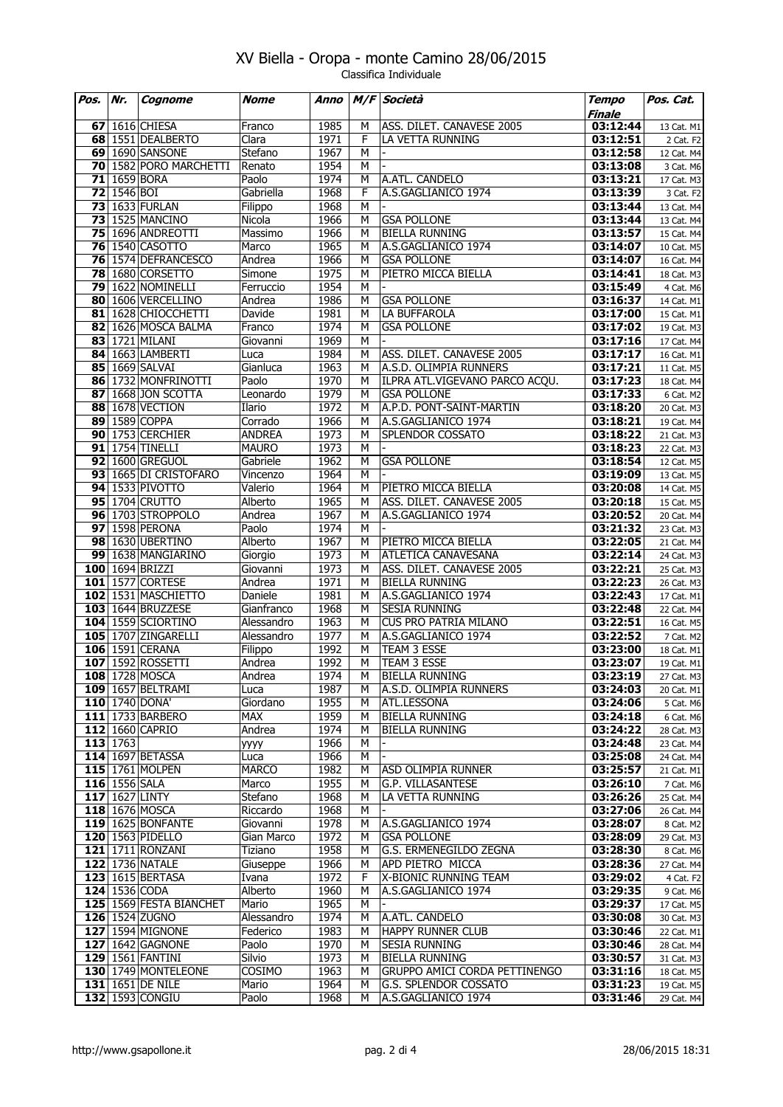| Pos. | Nr.           | Cognome                                     | <b>Nome</b>           | Anno         |                | M/F Società                                          | <b>Tempo</b><br>Finale | Pos. Cat.                |
|------|---------------|---------------------------------------------|-----------------------|--------------|----------------|------------------------------------------------------|------------------------|--------------------------|
|      |               | <b>67</b> 1616 CHIESA                       | Franco                | 1985         | М              | ASS. DILET. CANAVESE 2005                            | 03:12:44               | 13 Cat. M1               |
|      |               | 68 1551 DEALBERTO                           | Clara                 | 1971         | F              | LA VETTA RUNNING                                     | 03:12:51               | 2 Cat. F2                |
|      |               | 69 1690 SANSONE                             | Stefano               | 1967         | M              |                                                      | 03:12:58               | 12 Cat. M4               |
|      |               | 70 1582 PORO MARCHETTI                      | Renato                | 1954         | М              |                                                      | 03:13:08               | 3 Cat. M6                |
|      |               | <b>71</b> 1659 BORA                         | Paolo                 | 1974         | M              | A.ATL. CANDELO                                       | 03:13:21               | 17 Cat. M3               |
|      | 72 1546 BOI   |                                             | Gabriella             | 1968         | F              | A.S.GAGLIANICO 1974                                  | 03:13:39               | 3 Cat. F2                |
|      |               | <b>73 1633 FURLAN</b>                       | Filippo               | 1968         | M              |                                                      | 03:13:44               | 13 Cat. M4               |
|      |               | <b>73</b> 1525 MANCINO                      | Nicola                | 1966         | М              | <b>GSA POLLONE</b>                                   | 03:13:44               | 13 Cat. M4               |
|      |               | 75 1696 ANDREOTTI                           | Massimo               | 1966         | M              | <b>BIELLA RUNNING</b>                                | 03:13:57               | 15 Cat. M4               |
|      |               | <b>76 1540 CASOTTO</b>                      | Marco                 | 1965         | M              | A.S.GAGLIANICO 1974                                  | 03:14:07               | 10 Cat. M5               |
|      |               | 76 1574 DEFRANCESCO                         | Andrea                | 1966         | М              | <b>GSA POLLONE</b>                                   | 03:14:07               | 16 Cat. M4               |
|      |               | <b>78 1680 CORSETTO</b>                     | Simone                | 1975         | M              | PIETRO MICCA BIELLA                                  | 03:14:41               | 18 Cat. M3               |
|      |               | 79 1622 NOMINELLI                           | Ferruccio             | 1954         | M              |                                                      | 03:15:49               | 4 Cat. M6                |
|      |               | 80 1606 VERCELLINO                          | Andrea                | 1986         | М              | <b>GSA POLLONE</b>                                   | 03:16:37               | 14 Cat. M1               |
|      |               | 81 1628 CHIOCCHETTI                         | Davide                | 1981         | М              | LA BUFFAROLA                                         | 03:17:00               | 15 Cat. M1               |
|      |               | 82 1626 MOSCA BALMA                         | Franco                | 1974         | М              | <b>GSA POLLONE</b>                                   | 03:17:02               | 19 Cat. M3               |
|      |               | 83 1721 MILANI                              | Giovanni              | 1969         | M              |                                                      | 03:17:16               | 17 Cat. M4               |
|      |               | 84 1663 LAMBERTI                            | Luca                  | 1984         | М              | ASS. DILET. CANAVESE 2005                            | 03:17:17               | 16 Cat. M1               |
|      |               | 85 1669 SALVAI<br>86 1732 MONFRINOTTI       | Gianluca              | 1963<br>1970 | М<br>M         | A.S.D. OLIMPIA RUNNERS                               | 03:17:21<br>03:17:23   | 11 Cat. M5               |
|      |               | 87 1668 JON SCOTTA                          | Paolo                 | 1979         | м              | ILPRA ATL.VIGEVANO PARCO ACQU.<br><b>GSA POLLONE</b> |                        | 18 Cat. M4<br>6 Cat. M2  |
|      |               | 88 1678 VECTION                             | Leonardo<br>Ilario    | 1972         | М              | A.P.D. PONT-SAINT-MARTIN                             | 03:17:33<br>03:18:20   | 20 Cat. M3               |
|      |               | 89 1589 COPPA                               | Corrado               | 1966         | М              | A.S.GAGLIANICO 1974                                  | 03:18:21               | 19 Cat. M4               |
|      |               | 90 1753 CERCHIER                            | <b>ANDREA</b>         | 1973         | M              | SPLENDOR COSSATO                                     | 03:18:22               | 21 Cat. M3               |
|      |               | 91 1754 TINELLI                             | <b>MAURO</b>          | 1973         | М              |                                                      | 03:18:23               | 22 Cat. M3               |
|      |               | 92 1600 GREGUOL                             | Gabriele              | 1962         | M              | <b>GSA POLLONE</b>                                   | 03:18:54               | 12 Cat. M5               |
|      |               | 93 1665 DI CRISTOFARO                       | Vincenzo              | 1964         | $\overline{M}$ |                                                      | 03:19:09               | 13 Cat. M5               |
|      |               | 94 1533 PIVOTTO                             | Valerio               | 1964         | М              | PIETRO MICCA BIELLA                                  | 03:20:08               | 14 Cat. M5               |
|      |               | 95 1704 CRUTTO                              | Alberto               | 1965         | М              | ASS. DILET. CANAVESE 2005                            | 03:20:18               | 15 Cat. M5               |
|      |               | 96 1703 STROPPOLO                           | Andrea                | 1967         | M              | A.S.GAGLIANICO 1974                                  | 03:20:52               | 20 Cat. M4               |
|      |               | 97 1598 PERONA                              | Paolo                 | 1974         | M              |                                                      | 03:21:32               | 23 Cat. M3               |
|      |               | 98 1630 UBERTINO                            | Alberto               | 1967         | М              | PIETRO MICCA BIELLA                                  | 03:22:05               | 21 Cat. M4               |
|      |               | 99 1638 MANGIARINO                          | Giorgio               | 1973         | М              | <b>ATLETICA CANAVESANA</b>                           | 03:22:14               | 24 Cat. M3               |
|      |               | 100 1694 BRIZZI                             | Giovanni              | 1973         | M              | ASS. DILET. CANAVESE 2005                            | 03:22:21               | 25 Cat. M3               |
|      |               | 101 1577 CORTESE                            | Andrea                | 1971<br>1981 | М              | <b>BIELLA RUNNING</b>                                | 03:22:23               | 26 Cat. M3               |
|      |               | 102 1531 MASCHIETTO<br>103 1644 BRUZZESE    | Daniele<br>Gianfranco | 1968         | М<br>M         | A.S.GAGLIANICO 1974<br><b>SESIA RUNNING</b>          | 03:22:43<br>03:22:48   | 17 Cat. M1               |
|      |               | 104 1559 SCIORTINO                          | Alessandro            | 1963         | М              | <b>CUS PRO PATRIA MILANO</b>                         | 03:22:51               | 22 Cat. M4<br>16 Cat. M5 |
|      |               | 105 1707 ZINGARELLI                         | Alessandro            | 1977         | М              | A.S.GAGLIANICO 1974                                  | 03:22:52               | 7 Cat. M2                |
|      |               | 106 1591 CERANA                             | Filippo               | 1992         | м              | TEAM 3 ESSE                                          | 03:23:00               | 18 Cat. M1               |
|      |               | 107 1592 ROSSETTI                           | Andrea                | 1992         | М              | TEAM 3 ESSE                                          | 03:23:07               | 19 Cat. M1               |
|      |               | 108 1728 MOSCA                              | Andrea                | 1974         | M              | <b>BIELLA RUNNING</b>                                | 03:23:19               | 27 Cat. M3               |
|      |               | 109 1657 BELTRAMI                           | Luca                  | 1987         | M              | A.S.D. OLIMPIA RUNNERS                               | 03:24:03               | 20 Cat. M1               |
|      |               | 110 1740 DONA'                              | Giordano              | 1955         | М              | ATL.LESSONA                                          | 03:24:06               | 5 Cat. M6                |
|      |               | 111 1733 BARBERO                            | <b>MAX</b>            | 1959         | М              | <b>BIELLA RUNNING</b>                                | 03:24:18               | 6 Cat. M6                |
|      |               | 112 1660 CAPRIO                             | Andrea                | 1974         | м              | <b>BIELLA RUNNING</b>                                | 03:24:22               | 28 Cat. M3               |
|      | 113 1763      |                                             | уууу                  | 1966         | М              |                                                      | 03:24:48               | 23 Cat. M4               |
|      |               | 114 1697 BETASSA                            | Luca                  | 1966         | М              |                                                      | 03:25:08               | 24 Cat. M4               |
|      |               | 115 1761 MOLPEN                             | <b>MARCO</b>          | 1982         | М              | <b>ASD OLIMPIA RUNNER</b>                            | 03:25:57               | 21 Cat. M1               |
|      | 116 1556 SALA |                                             | Marco                 | 1955         | М              | <b>G.P. VILLASANTESE</b>                             | 03:26:10               | 7 Cat. M6                |
|      |               | 117 1627 LINTY                              | Stefano               | 1968         | М              | LA VETTA RUNNING                                     | 03:26:26               | 25 Cat. M4               |
|      |               | 118 1676 MOSCA                              | Riccardo              | 1968         | М              |                                                      | 03:27:06               | 26 Cat. M4               |
|      |               | 119 1625 BONFANTE                           | Giovanni              | 1978         | М              | A.S.GAGLIANICO 1974                                  | 03:28:07               | 8 Cat. M2                |
|      |               | 120 1563 PIDELLO<br><b>121</b> 1711 RONZANI | Gian Marco<br>Tiziano | 1972<br>1958 | М<br>М         | <b>GSA POLLONE</b><br>G.S. ERMENEGILDO ZEGNA         | 03:28:09<br>03:28:30   | 29 Cat. M3               |
|      |               | <b>122</b> 1736 NATALE                      | Giuseppe              | 1966         | М              | APD PIETRO MICCA                                     | 03:28:36               | 8 Cat. M6<br>27 Cat. M4  |
|      |               | 123 1615 BERTASA                            | Ivana                 | 1972         | F              | X-BIONIC RUNNING TEAM                                | 03:29:02               | 4 Cat. F2                |
|      |               | 124 1536 CODA                               | Alberto               | 1960         | М              | A.S.GAGLIANICO 1974                                  | 03:29:35               | 9 Cat. M6                |
|      |               | 125 1569 FESTA BIANCHET                     | Mario                 | 1965         | М              |                                                      | 03:29:37               | 17 Cat. M5               |
|      |               | 126 1524 ZUGNO                              | Alessandro            | 1974         | м              | A.ATL. CANDELO                                       | 03:30:08               | 30 Cat. M3               |
|      |               | 127 1594 MIGNONE                            | Federico              | 1983         | М              | <b>HAPPY RUNNER CLUB</b>                             | 03:30:46               | 22 Cat. M1               |
|      |               | 127 1642 GAGNONE                            | Paolo                 | 1970         | М              | <b>SESIA RUNNING</b>                                 | 03:30:46               | 28 Cat. M4               |
|      |               | <b>129 1561 FANTINI</b>                     | Silvio                | 1973         | М              | <b>BIELLA RUNNING</b>                                | 03:30:57               | 31 Cat. M3               |
|      |               | 130 1749 MONTELEONE                         | COSIMO                | 1963         | М              | GRUPPO AMICI CORDA PETTINENGO                        | 03:31:16               | 18 Cat. M5               |
|      |               | <b>131</b> 1651 DE NILE                     | Mario                 | 1964         | M              | G.S. SPLENDOR COSSATO                                | 03:31:23               | 19 Cat. M5               |
|      |               | 132 1593 CONGIU                             | Paolo                 | 1968         | М              | A.S.GAGLIANICO 1974                                  | 03:31:46               | 29 Cat. M4               |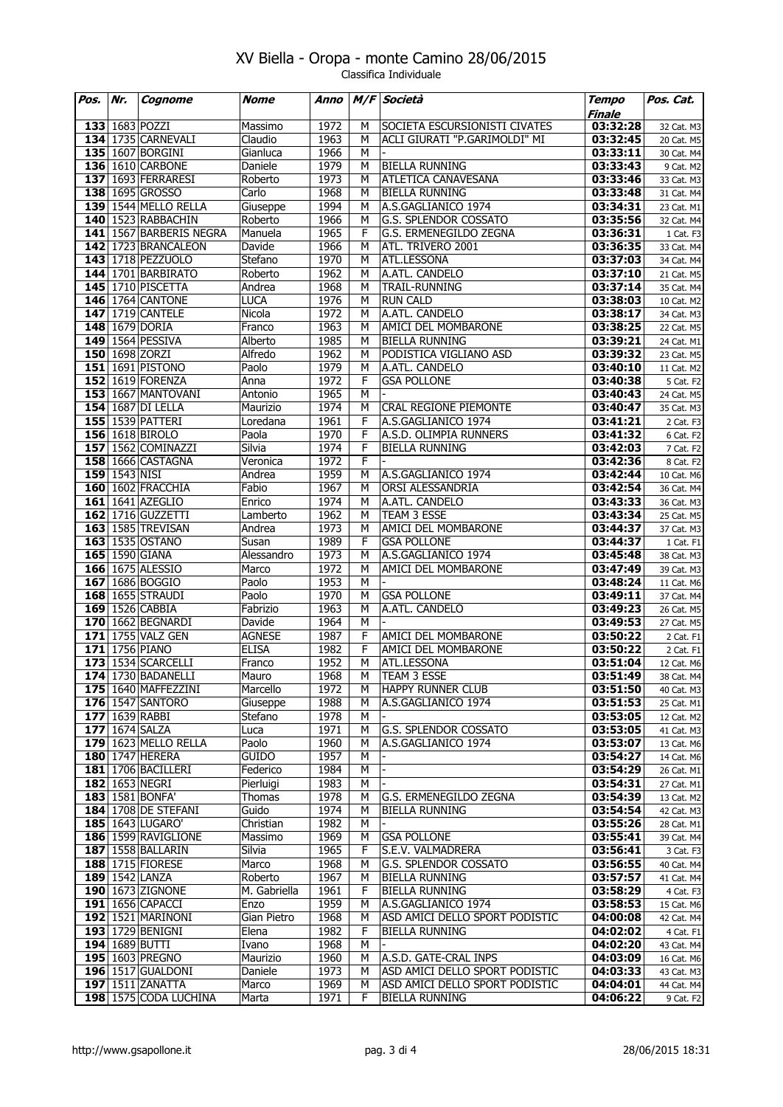| Pos. | Nr.           | Cognome                                      | <b>Nome</b>          | Anno         |                | M/F Società                                  | <b>Tempo</b>         | Pos. Cat.                             |
|------|---------------|----------------------------------------------|----------------------|--------------|----------------|----------------------------------------------|----------------------|---------------------------------------|
|      |               | 133 1683 POZZI                               | Massimo              | 1972         | M              | SOCIETA ESCURSIONISTI CIVATES                | Finale<br>03:32:28   | 32 Cat. M3                            |
|      |               | <b>134</b> 1735 CARNEVALI                    | Claudio              | 1963         | M              | ACLI GIURATI "P.GARIMOLDI" MI                | 03:32:45             | 20 Cat. M5                            |
|      |               | 135 1607 BORGINI                             | Gianluca             | 1966         | M              |                                              | 03:33:11             | 30 Cat. M4                            |
|      |               | 136 1610 CARBONE                             | Daniele              | 1979         | M              | <b>BIELLA RUNNING</b>                        | 03:33:43             | 9 Cat. M2                             |
|      |               | 137 1693 FERRARESI                           | Roberto              | 1973         | М              | <b>ATLETICA CANAVESANA</b>                   | 03:33:46             | 33 Cat. M3                            |
|      |               | 138 1695 GROSSO                              | Carlo                | 1968         | M              | <b>BIELLA RUNNING</b>                        | 03:33:48             | 31 Cat. M4                            |
|      |               | <b>139 1544 MELLO RELLA</b>                  | Giuseppe             | 1994         | M              | A.S.GAGLIANICO 1974                          | 03:34:31             | 23 Cat. M1                            |
|      |               | 140 1523 RABBACHIN                           | Roberto              | 1966         | M              | G.S. SPLENDOR COSSATO                        | 03:35:56             | 32 Cat. M4                            |
|      |               | 141 1567 BARBERIS NEGRA                      | Manuela              | 1965         | F              | G.S. ERMENEGILDO ZEGNA                       | 03:36:31             | 1 Cat. F3                             |
|      |               | 142 1723 BRANCALEON                          | Davide               | 1966         | M              | ATL. TRIVERO 2001                            | 03:36:35             | 33 Cat. M4                            |
|      |               | 143 1718 PEZZUOLO                            | Stefano              | 1970         | M              | ATL.LESSONA                                  | 03:37:03             | 34 Cat. M4                            |
|      |               | <b>144</b> 1701 BARBIRATO                    | Roberto              | 1962         | M              | A.ATL. CANDELO                               | 03:37:10             | 21 Cat. M5                            |
|      |               | 145 1710 PISCETTA                            | Andrea               | 1968         | M              | TRAIL-RUNNING                                | 03:37:14             | 35 Cat. M4                            |
|      |               | <b>146</b> 1764 CANTONE                      | <b>LUCA</b>          | 1976         | M              | <b>RUN CALD</b>                              | 03:38:03             | 10 Cat. M2                            |
|      |               | 147 1719 CANTELE                             | Nicola               | 1972         | M              | A.ATL. CANDELO                               | 03:38:17             | 34 Cat. M3                            |
|      |               | 148 1679 DORIA                               | Franco               | 1963         | M              | AMICI DEL MOMBARONE                          | 03:38:25             | 22 Cat. M5                            |
|      |               | 149 1564 PESSIVA                             | Alberto              | 1985         | M              | <b>BIELLA RUNNING</b>                        | 03:39:21             | 24 Cat. M1                            |
|      |               | 150 1698 ZORZI                               | Alfredo              | 1962         | M              | PODISTICA VIGLIANO ASD                       | 03:39:32             | 23 Cat. M5                            |
|      |               | 151 1691 PISTONO                             | Paolo                | 1979         | M              | A.ATL. CANDELO                               | 03:40:10             | 11 Cat. M2                            |
|      |               | 152 1619 FORENZA<br>153 1667 MANTOVANI       | Anna                 | 1972         | $\mathsf F$    | <b>GSA POLLONE</b>                           | 03:40:38             | 5 Cat. F2                             |
|      |               |                                              | Antonio              | 1965<br>1974 | M<br>M         |                                              | 03:40:43             | 24 Cat. M5                            |
|      |               | <b>154</b> 1687 DI LELLA<br>155 1539 PATTERI | Maurizio<br>Loredana | 1961         | F              | CRAL REGIONE PIEMONTE<br>A.S.GAGLIANICO 1974 | 03:40:47<br>03:41:21 | 35 Cat. M3<br>$2$ Cat. F <sub>3</sub> |
|      |               | 156 1618 BIROLO                              | Paola                | 1970         | F              | A.S.D. OLIMPIA RUNNERS                       | 03:41:32             | $\overline{6}$ Cat. F <sub>2</sub>    |
|      |               | 157 1562 COMINAZZI                           | Silvia               | 1974         | F              | <b>BIELLA RUNNING</b>                        | 03:42:03             | 7 Cat. F2                             |
|      |               | 158 1666 CASTAGNA                            | Veronica             | 1972         | F              |                                              | 03:42:36             | 8 Cat. F2                             |
|      | 159 1543 NISI |                                              | Andrea               | 1959         | M              | A.S.GAGLIANICO 1974                          | 03:42:44             | 10 Cat. M6                            |
|      |               | 160 1602 FRACCHIA                            | Fabio                | 1967         | M              | ORSI ALESSANDRIA                             | 03:42:54             | 36 Cat. M4                            |
|      |               | 161 1641 AZEGLIO                             | Enrico               | 1974         | M              | A.ATL. CANDELO                               | 03:43:33             | 36 Cat. M3                            |
|      |               | 162 1716 GUZZETTI                            | Lamberto             | 1962         | M              | TEAM 3 ESSE                                  | 03:43:34             | 25 Cat. M5                            |
|      |               | 163 1585 TREVISAN                            | Andrea               | 1973         | M              | AMICI DEL MOMBARONE                          | 03:44:37             | 37 Cat. M3                            |
|      |               | 163 1535 OSTANO                              | Susan                | 1989         | F              | <b>GSA POLLONE</b>                           | 03:44:37             | 1 Cat. F1                             |
|      |               | 165 1590 GIANA                               | Alessandro           | 1973         | M              | A.S.GAGLIANICO 1974                          | 03:45:48             | 38 Cat. M3                            |
|      |               | 166 1675 ALESSIO                             | Marco                | 1972         | M              | AMICI DEL MOMBARONE                          | 03:47:49             | 39 Cat. M3                            |
|      |               | 167 1686 BOGGIO                              | Paolo                | 1953         | М              |                                              | 03:48:24             | 11 Cat. M6                            |
|      |               | 168 1655 STRAUDI                             | Paolo                | 1970         | M              | <b>GSA POLLONE</b>                           | 03:49:11             | 37 Cat. M4                            |
|      |               | 169 1526 CABBIA                              | Fabrizio             | 1963         | M              | A.ATL. CANDELO                               | 03:49:23             | 26 Cat. M5                            |
|      |               | 170 1662 BEGNARDI                            | Davide               | 1964         | M              |                                              | 03:49:53             | 27 Cat. M5                            |
|      |               | 171 1755 VALZ GEN                            | <b>AGNESE</b>        | 1987         | F              | AMICI DEL MOMBARONE                          | 03:50:22             | 2 Cat. F1                             |
|      |               | 171 1756 PIANO                               | <b>ELISA</b>         | 1982         | $\overline{F}$ | AMICI DEL MOMBARONE                          | 03:50:22             | 2 Cat. F1                             |
|      |               | 173 1534 SCARCELLI                           | Franco               | 1952         | M              | ATL.LESSONA                                  | 03:51:04             | 12 Cat. M6                            |
|      |               | 174 1730 BADANELLI                           | Mauro                | 1968         | M              | TEAM 3 ESSE                                  | 03:51:49             | 38 Cat. M4                            |
|      |               | 175   1640   MAFFEZZINI                      | Marcello             | 1972         | M              | <b>HAPPY RUNNER CLUB</b>                     | 03:51:50             | 40 Cat. M3                            |
|      |               | <b>176</b> 1547 SANTORO                      | Giuseppe             | 1988         | M              | A.S.GAGLIANICO 1974                          | 03:51:53             | 25 Cat. M1                            |
|      |               | 177 1639 RABBI<br>177 1674 SALZA             | Stefano<br>Luca      | 1978<br>1971 | М<br>М         | <b>G.S. SPLENDOR COSSATO</b>                 | 03:53:05<br>03:53:05 | 12 Cat. M2<br>41 Cat. M3              |
|      |               | <b>179</b> 1623 MELLO RELLA                  | Paolo                | 1960         | М              | A.S.GAGLIANICO 1974                          | 03:53:07             | 13 Cat. M6                            |
|      |               | 180 1747 HERERA                              | <b>GUIDO</b>         | 1957         | М              |                                              | 03:54:27             | 14 Cat. M6                            |
|      |               | <b>181</b> 1706 BACILLERI                    | Federico             | 1984         | M              |                                              | 03:54:29             | 26 Cat. M1                            |
|      |               | 182 1653 NEGRI                               | Pierluigi            | 1983         | М              |                                              | 03:54:31             | 27 Cat. M1                            |
|      |               | 183 1581 BONFA'                              | Thomas               | 1978         | M              | G.S. ERMENEGILDO ZEGNA                       | 03:54:39             | 13 Cat. M2                            |
|      |               | <b>184</b> 1708 DE STEFANI                   | Guido                | 1974         | М              | <b>BIELLA RUNNING</b>                        | 03:54:54             | 42 Cat. M3                            |
|      |               | 185 1643 LUGARO'                             | Christian            | 1982         | М              |                                              | 03:55:26             | 28 Cat. M1                            |
|      |               | <b>186</b> 1599 RAVIGLIONE                   | Massimo              | 1969         | M              | <b>GSA POLLONE</b>                           | 03:55:41             | 39 Cat. M4                            |
|      |               | <b>187 1558 BALLARIN</b>                     | Silvia               | 1965         | F              | S.E.V. VALMADRERA                            | 03:56:41             | 3 Cat. F3                             |
|      |               | 188 1715 FIORESE                             | Marco                | 1968         | М              | G.S. SPLENDOR COSSATO                        | 03:56:55             | 40 Cat. M4                            |
|      |               | 189 1542 LANZA                               | Roberto              | 1967         | М              | <b>BIELLA RUNNING</b>                        | 03:57:57             | 41 Cat. M4                            |
|      |               | 190 1673 ZIGNONE                             | M. Gabriella         | 1961         | F              | <b>BIELLA RUNNING</b>                        | 03:58:29             | 4 Cat. F3                             |
|      |               | <b>191</b>   1656   CAPACCI                  | Enzo                 | 1959         | M              | A.S.GAGLIANICO 1974                          | 03:58:53             | 15 Cat. M6                            |
|      |               | <b>192</b> 1521 MARINONI                     | Gian Pietro          | 1968         | M              | ASD AMICI DELLO SPORT PODISTIC               | 04:00:08             | 42 Cat. M4                            |
|      |               | 193 1729 BENIGNI                             | Elena                | 1982         | F              | <b>BIELLA RUNNING</b>                        | 04:02:02             | 4 Cat. F1                             |
|      |               | 194 1689 BUTTI                               | Ivano                | 1968         | M              |                                              | 04:02:20             | 43 Cat. M4                            |
|      |               | 195 1603 PREGNO                              | Maurizio             | 1960         | М              | A.S.D. GATE-CRAL INPS                        | 04:03:09             | 16 Cat. M6                            |
|      |               | <b>196</b> 1517 GUALDONI                     | Daniele              | 1973         | M              | ASD AMICI DELLO SPORT PODISTIC               | 04:03:33             | 43 Cat. M3                            |
|      |               | 197 1511 ZANATTA                             | Marco                | 1969         | М              | ASD AMICI DELLO SPORT PODISTIC               | 04:04:01             | 44 Cat. M4                            |
|      |               | 198 1575 CODA LUCHINA                        | Marta                | 1971         | F              | <b>BIELLA RUNNING</b>                        | 04:06:22             | 9 Cat. F <sub>2</sub>                 |